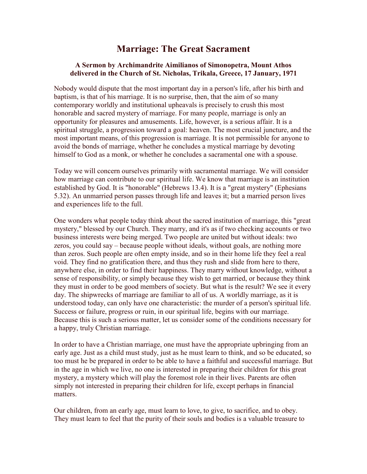## Marriage: The Great Sacrament

## A Sermon by Archimandrite Aimilianos of Simonopetra, Mount Athos delivered in the Church of St. Nicholas, Trikala, Greece, 17 January, 1971

Nobody would dispute that the most important day in a person's life, after his birth and baptism, is that of his marriage. It is no surprise, then, that the aim of so many contemporary worldly and institutional upheavals is precisely to crush this most honorable and sacred mystery of marriage. For many people, marriage is only an opportunity for pleasures and amusements. Life, however, is a serious affair. It is a spiritual struggle, a progression toward a goal: heaven. The most crucial juncture, and the most important means, of this progression is marriage. It is not permissible for anyone to avoid the bonds of marriage, whether he concludes a mystical marriage by devoting himself to God as a monk, or whether he concludes a sacramental one with a spouse.

Today we will concern ourselves primarily with sacramental marriage. We will consider how marriage can contribute to our spiritual life. We know that marriage is an institution established by God. It is "honorable" (Hebrews 13.4). It is a "great mystery" (Ephesians 5.32). An unmarried person passes through life and leaves it; but a married person lives and experiences life to the full.

One wonders what people today think about the sacred institution of marriage, this "great mystery," blessed by our Church. They marry, and it's as if two checking accounts or two business interests were being merged. Two people are united but without ideals: two zeros, you could say – because people without ideals, without goals, are nothing more than zeros. Such people are often empty inside, and so in their home life they feel a real void. They find no gratification there, and thus they rush and slide from here to there, anywhere else, in order to find their happiness. They marry without knowledge, without a sense of responsibility, or simply because they wish to get married, or because they think they must in order to be good members of society. But what is the result? We see it every day. The shipwrecks of marriage are familiar to all of us. A worldly marriage, as it is understood today, can only have one characteristic: the murder of a person's spiritual life. Success or failure, progress or ruin, in our spiritual life, begins with our marriage. Because this is such a serious matter, let us consider some of the conditions necessary for a happy, truly Christian marriage.

In order to have a Christian marriage, one must have the appropriate upbringing from an early age. Just as a child must study, just as he must learn to think, and so be educated, so too must he be prepared in order to be able to have a faithful and successful marriage. But in the age in which we live, no one is interested in preparing their children for this great mystery, a mystery which will play the foremost role in their lives. Parents are often simply not interested in preparing their children for life, except perhaps in financial matters.

Our children, from an early age, must learn to love, to give, to sacrifice, and to obey. They must learn to feel that the purity of their souls and bodies is a valuable treasure to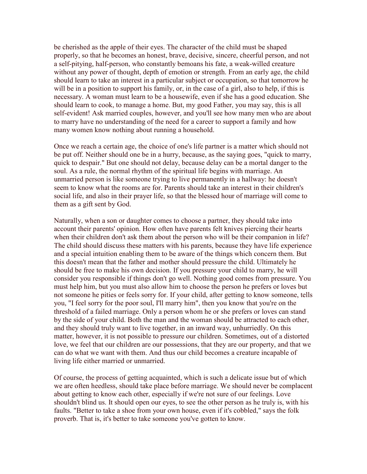be cherished as the apple of their eyes. The character of the child must be shaped properly, so that he becomes an honest, brave, decisive, sincere, cheerful person, and not a self-pitying, half-person, who constantly bemoans his fate, a weak-willed creature without any power of thought, depth of emotion or strength. From an early age, the child should learn to take an interest in a particular subject or occupation, so that tomorrow he will be in a position to support his family, or, in the case of a girl, also to help, if this is necessary. A woman must learn to be a housewife, even if she has a good education. She should learn to cook, to manage a home. But, my good Father, you may say, this is all self-evident! Ask married couples, however, and you'll see how many men who are about to marry have no understanding of the need for a career to support a family and how many women know nothing about running a household.

Once we reach a certain age, the choice of one's life partner is a matter which should not be put off. Neither should one be in a hurry, because, as the saying goes, "quick to marry, quick to despair." But one should not delay, because delay can be a mortal danger to the soul. As a rule, the normal rhythm of the spiritual life begins with marriage. An unmarried person is like someone trying to live permanently in a hallway: he doesn't seem to know what the rooms are for. Parents should take an interest in their children's social life, and also in their prayer life, so that the blessed hour of marriage will come to them as a gift sent by God.

Naturally, when a son or daughter comes to choose a partner, they should take into account their parents' opinion. How often have parents felt knives piercing their hearts when their children don't ask them about the person who will be their companion in life? The child should discuss these matters with his parents, because they have life experience and a special intuition enabling them to be aware of the things which concern them. But this doesn't mean that the father and mother should pressure the child. Ultimately he should be free to make his own decision. If you pressure your child to marry, he will consider you responsible if things don't go well. Nothing good comes from pressure. You must help him, but you must also allow him to choose the person he prefers or loves but not someone he pities or feels sorry for. If your child, after getting to know someone, tells you, "I feel sorry for the poor soul, I'll marry him", then you know that you're on the threshold of a failed marriage. Only a person whom he or she prefers or loves can stand by the side of your child. Both the man and the woman should be attracted to each other, and they should truly want to live together, in an inward way, unhurriedly. On this matter, however, it is not possible to pressure our children. Sometimes, out of a distorted love, we feel that our children are our possessions, that they are our property, and that we can do what we want with them. And thus our child becomes a creature incapable of living life either married or unmarried.

Of course, the process of getting acquainted, which is such a delicate issue but of which we are often heedless, should take place before marriage. We should never be complacent about getting to know each other, especially if we're not sure of our feelings. Love shouldn't blind us. It should open our eyes, to see the other person as he truly is, with his faults. "Better to take a shoe from your own house, even if it's cobbled," says the folk proverb. That is, it's better to take someone you've gotten to know.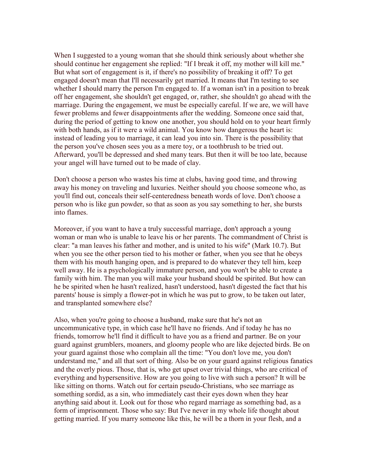When I suggested to a young woman that she should think seriously about whether she should continue her engagement she replied: "If I break it off, my mother will kill me." But what sort of engagement is it, if there's no possibility of breaking it off? To get engaged doesn't mean that I'll necessarily get married. It means that I'm testing to see whether I should marry the person I'm engaged to. If a woman isn't in a position to break off her engagement, she shouldn't get engaged, or, rather, she shouldn't go ahead with the marriage. During the engagement, we must be especially careful. If we are, we will have fewer problems and fewer disappointments after the wedding. Someone once said that, during the period of getting to know one another, you should hold on to your heart firmly with both hands, as if it were a wild animal. You know how dangerous the heart is: instead of leading you to marriage, it can lead you into sin. There is the possibility that the person you've chosen sees you as a mere toy, or a toothbrush to be tried out. Afterward, you'll be depressed and shed many tears. But then it will be too late, because your angel will have turned out to be made of clay.

Don't choose a person who wastes his time at clubs, having good time, and throwing away his money on traveling and luxuries. Neither should you choose someone who, as you'll find out, conceals their self-centeredness beneath words of love. Don't choose a person who is like gun powder, so that as soon as you say something to her, she bursts into flames.

Moreover, if you want to have a truly successful marriage, don't approach a young woman or man who is unable to leave his or her parents. The commandment of Christ is clear: "a man leaves his father and mother, and is united to his wife" (Mark 10.7). But when you see the other person tied to his mother or father, when you see that he obeys them with his mouth hanging open, and is prepared to do whatever they tell him, keep well away. He is a psychologically immature person, and you won't be able to create a family with him. The man you will make your husband should be spirited. But how can he be spirited when he hasn't realized, hasn't understood, hasn't digested the fact that his parents' house is simply a flower-pot in which he was put to grow, to be taken out later, and transplanted somewhere else?

Also, when you're going to choose a husband, make sure that he's not an uncommunicative type, in which case he'll have no friends. And if today he has no friends, tomorrow he'll find it difficult to have you as a friend and partner. Be on your guard against grumblers, moaners, and gloomy people who are like dejected birds. Be on your guard against those who complain all the time: "You don't love me, you don't understand me," and all that sort of thing. Also be on your guard against religious fanatics and the overly pious. Those, that is, who get upset over trivial things, who are critical of everything and hypersensitive. How are you going to live with such a person? It will be like sitting on thorns. Watch out for certain pseudo-Christians, who see marriage as something sordid, as a sin, who immediately cast their eyes down when they hear anything said about it. Look out for those who regard marriage as something bad, as a form of imprisonment. Those who say: But I've never in my whole life thought about getting married. If you marry someone like this, he will be a thorn in your flesh, and a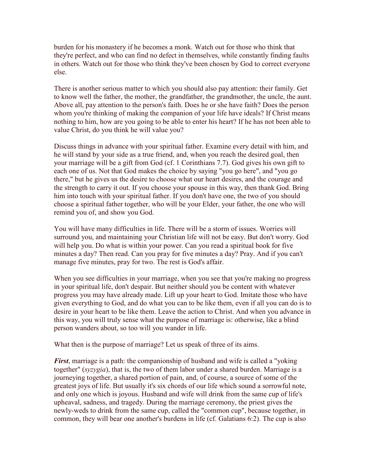burden for his monastery if he becomes a monk. Watch out for those who think that they're perfect, and who can find no defect in themselves, while constantly finding faults in others. Watch out for those who think they've been chosen by God to correct everyone else.

There is another serious matter to which you should also pay attention: their family. Get to know well the father, the mother, the grandfather, the grandmother, the uncle, the aunt. Above all, pay attention to the person's faith. Does he or she have faith? Does the person whom you're thinking of making the companion of your life have ideals? If Christ means nothing to him, how are you going to be able to enter his heart? If he has not been able to value Christ, do you think he will value you?

Discuss things in advance with your spiritual father. Examine every detail with him, and he will stand by your side as a true friend, and, when you reach the desired goal, then your marriage will be a gift from God (cf. 1 Corinthians 7.7). God gives his own gift to each one of us. Not that God makes the choice by saying "you go here", and "you go there," but he gives us the desire to choose what our heart desires, and the courage and the strength to carry it out. If you choose your spouse in this way, then thank God. Bring him into touch with your spiritual father. If you don't have one, the two of you should choose a spiritual father together, who will be your Elder, your father, the one who will remind you of, and show you God.

You will have many difficulties in life. There will be a storm of issues. Worries will surround you, and maintaining your Christian life will not be easy. But don't worry. God will help you. Do what is within your power. Can you read a spiritual book for five minutes a day? Then read. Can you pray for five minutes a day? Pray. And if you can't manage five minutes, pray for two. The rest is God's affair.

When you see difficulties in your marriage, when you see that you're making no progress in your spiritual life, don't despair. But neither should you be content with whatever progress you may have already made. Lift up your heart to God. Imitate those who have given everything to God, and do what you can to be like them, even if all you can do is to desire in your heart to be like them. Leave the action to Christ. And when you advance in this way, you will truly sense what the purpose of marriage is: otherwise, like a blind person wanders about, so too will you wander in life.

What then is the purpose of marriage? Let us speak of three of its aims.

**First**, marriage is a path: the companionship of husband and wife is called a "yoking" together" (syzygia), that is, the two of them labor under a shared burden. Marriage is a journeying together, a shared portion of pain, and, of course, a source of some of the greatest joys of life. But usually it's six chords of our life which sound a sorrowful note, and only one which is joyous. Husband and wife will drink from the same cup of life's upheaval, sadness, and tragedy. During the marriage ceremony, the priest gives the newly-weds to drink from the same cup, called the "common cup", because together, in common, they will bear one another's burdens in life (cf. Galatians 6:2). The cup is also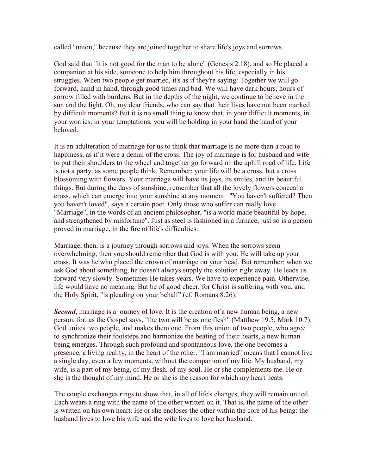called "union," because they are joined together to share life's joys and sorrows.

God said that "it is not good for the man to be alone" (Genesis 2.18), and so He placed a companion at his side, someone to help him throughout his life, especially in his struggles. When two people get married, it's as if they're saying: Together we will go forward, hand in hand, through good times and bad. We will have dark hours, hours of sorrow filled with burdens. But in the depths of the night, we continue to believe in the sun and the light. Oh, my dear friends, who can say that their lives have not been marked by difficult moments? But it is no small thing to know that, in your difficult moments, in your worries, in your temptations, you will be holding in your hand the hand of your beloved.

It is an adulteration of marriage for us to think that marriage is no more than a road to happiness, as if it were a denial of the cross. The joy of marriage is for husband and wife to put their shoulders to the wheel and together go forward on the uphill road of life. Life is not a party, as some people think. Remember: your life will be a cross, but a cross blossoming with flowers. Your marriage will have its joys, its smiles, and its beautiful things. But during the days of sunshine, remember that all the lovely flowers conceal a cross, which can emerge into your sunshine at any moment. "You haven't suffered? Then you haven't loved", says a certain poet. Only those who suffer can really love. "Marriage", in the words of an ancient philosopher, "is a world made beautiful by hope, and strengthened by misfortune". Just as steel is fashioned in a furnace, just so is a person proved in marriage, in the fire of life's difficulties.

Marriage, then, is a journey through sorrows and joys. When the sorrows seem overwhelming, then you should remember that God is with you. He will take up your cross. It was he who placed the crown of marriage on your head. But remember: when we ask God about something, he doesn't always supply the solution right away. He leads us forward very slowly. Sometimes He takes years. We have to experience pain. Otherwise, life would have no meaning. But be of good cheer, for Christ is suffering with you, and the Holy Spirit, "is pleading on your behalf" (cf. Romans 8.26).

**Second**, marriage is a journey of love. It is the creation of a new human being, a new person, for, as the Gospel says, "the two will be as one flesh" (Matthew 19.5; Mark 10.7). God unites two people, and makes them one. From this union of two people, who agree to synchronize their footsteps and harmonize the beating of their hearts, a new human being emerges. Through such profound and spontaneous love, the one becomes a presence, a living reality, in the heart of the other. "I am married" means that I cannot live a single day, even a few moments, without the companion of my life. My husband, my wife, is a part of my being, of my flesh, of my soul. He or she complements me. He or she is the thought of my mind. He or she is the reason for which my heart beats.

The couple exchanges rings to show that, in all of life's changes, they will remain united. Each wears a ring with the name of the other written on it. That is, the name of the other is written on his own heart. He or she encloses the other within the core of his being: the husband lives to love his wife and the wife lives to love her husband.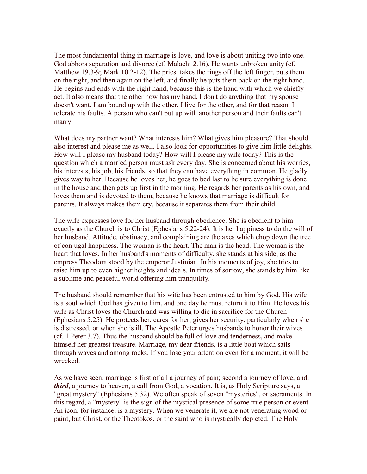The most fundamental thing in marriage is love, and love is about uniting two into one. God abhors separation and divorce (cf. Malachi 2.16). He wants unbroken unity (cf. Matthew 19.3-9; Mark 10.2-12). The priest takes the rings off the left finger, puts them on the right, and then again on the left, and finally he puts them back on the right hand. He begins and ends with the right hand, because this is the hand with which we chiefly act. It also means that the other now has my hand. I don't do anything that my spouse doesn't want. I am bound up with the other. I live for the other, and for that reason I tolerate his faults. A person who can't put up with another person and their faults can't marry.

What does my partner want? What interests him? What gives him pleasure? That should also interest and please me as well. I also look for opportunities to give him little delights. How will I please my husband today? How will I please my wife today? This is the question which a married person must ask every day. She is concerned about his worries, his interests, his job, his friends, so that they can have everything in common. He gladly gives way to her. Because he loves her, he goes to bed last to be sure everything is done in the house and then gets up first in the morning. He regards her parents as his own, and loves them and is devoted to them, because he knows that marriage is difficult for parents. It always makes them cry, because it separates them from their child.

The wife expresses love for her husband through obedience. She is obedient to him exactly as the Church is to Christ (Ephesians 5.22-24). It is her happiness to do the will of her husband. Attitude, obstinacy, and complaining are the axes which chop down the tree of conjugal happiness. The woman is the heart. The man is the head. The woman is the heart that loves. In her husband's moments of difficulty, she stands at his side, as the empress Theodora stood by the emperor Justinian. In his moments of joy, she tries to raise him up to even higher heights and ideals. In times of sorrow, she stands by him like a sublime and peaceful world offering him tranquility.

The husband should remember that his wife has been entrusted to him by God. His wife is a soul which God has given to him, and one day he must return it to Him. He loves his wife as Christ loves the Church and was willing to die in sacrifice for the Church (Ephesians 5.25). He protects her, cares for her, gives her security, particularly when she is distressed, or when she is ill. The Apostle Peter urges husbands to honor their wives (cf. 1 Peter 3.7). Thus the husband should be full of love and tenderness, and make himself her greatest treasure. Marriage, my dear friends, is a little boat which sails through waves and among rocks. If you lose your attention even for a moment, it will be wrecked.

As we have seen, marriage is first of all a journey of pain; second a journey of love; and, third, a journey to heaven, a call from God, a vocation. It is, as Holy Scripture says, a "great mystery" (Ephesians 5.32). We often speak of seven "mysteries", or sacraments. In this regard, a "mystery" is the sign of the mystical presence of some true person or event. An icon, for instance, is a mystery. When we venerate it, we are not venerating wood or paint, but Christ, or the Theotokos, or the saint who is mystically depicted. The Holy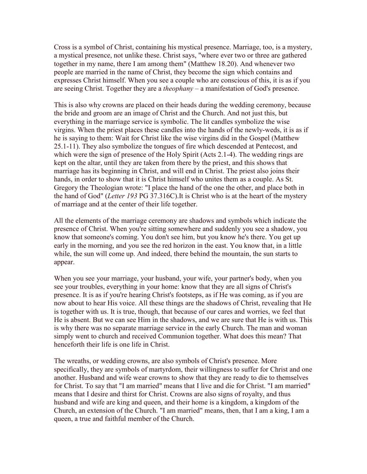Cross is a symbol of Christ, containing his mystical presence. Marriage, too, is a mystery, a mystical presence, not unlike these. Christ says, "where ever two or three are gathered together in my name, there I am among them" (Matthew 18.20). And whenever two people are married in the name of Christ, they become the sign which contains and expresses Christ himself. When you see a couple who are conscious of this, it is as if you are seeing Christ. Together they are a theophany – a manifestation of God's presence.

This is also why crowns are placed on their heads during the wedding ceremony, because the bride and groom are an image of Christ and the Church. And not just this, but everything in the marriage service is symbolic. The lit candles symbolize the wise virgins. When the priest places these candles into the hands of the newly-weds, it is as if he is saying to them: Wait for Christ like the wise virgins did in the Gospel (Matthew 25.1-11). They also symbolize the tongues of fire which descended at Pentecost, and which were the sign of presence of the Holy Spirit (Acts 2.1-4). The wedding rings are kept on the altar, until they are taken from there by the priest, and this shows that marriage has its beginning in Christ, and will end in Christ. The priest also joins their hands, in order to show that it is Christ himself who unites them as a couple. As St. Gregory the Theologian wrote: "I place the hand of the one the other, and place both in the hand of God" (Letter 193 PG 37.316C).It is Christ who is at the heart of the mystery of marriage and at the center of their life together.

All the elements of the marriage ceremony are shadows and symbols which indicate the presence of Christ. When you're sitting somewhere and suddenly you see a shadow, you know that someone's coming. You don't see him, but you know he's there. You get up early in the morning, and you see the red horizon in the east. You know that, in a little while, the sun will come up. And indeed, there behind the mountain, the sun starts to appear.

When you see your marriage, your husband, your wife, your partner's body, when you see your troubles, everything in your home: know that they are all signs of Christ's presence. It is as if you're hearing Christ's footsteps, as if He was coming, as if you are now about to hear His voice. All these things are the shadows of Christ, revealing that He is together with us. It is true, though, that because of our cares and worries, we feel that He is absent. But we can see Him in the shadows, and we are sure that He is with us. This is why there was no separate marriage service in the early Church. The man and woman simply went to church and received Communion together. What does this mean? That henceforth their life is one life in Christ.

The wreaths, or wedding crowns, are also symbols of Christ's presence. More specifically, they are symbols of martyrdom, their willingness to suffer for Christ and one another. Husband and wife wear crowns to show that they are ready to die to themselves for Christ. To say that "I am married" means that I live and die for Christ. "I am married" means that I desire and thirst for Christ. Crowns are also signs of royalty, and thus husband and wife are king and queen, and their home is a kingdom, a kingdom of the Church, an extension of the Church. "I am married" means, then, that I am a king, I am a queen, a true and faithful member of the Church.